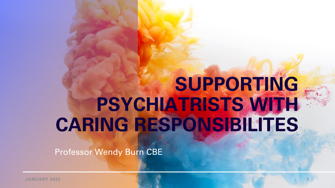# **SUPPORTING PSYCHIATRISTS WITH CARING RESPONSIBILITES**

Professor Wendy Burn CBE

**JANUARY 2022 1**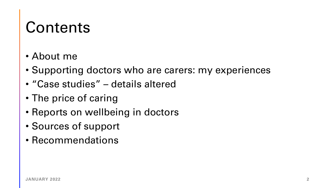#### **Contents**

- About me
- Supporting doctors who are carers: my experiences
- "Case studies" details altered
- The price of caring
- Reports on wellbeing in doctors
- Sources of support
- Recommendations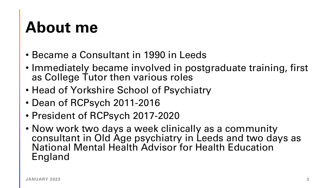#### **About me**

- Became a Consultant in 1990 in Leeds
- Immediately became involved in postgraduate training, first as College Tutor then various roles
- Head of Yorkshire School of Psychiatry
- Dean of RCPsych 2011-2016
- President of RCPsych 2017-2020
- Now work two days a week clinically as a community consultant in Old Age psychiatry in Leeds and two days as National Mental Health Advisor for Health Education England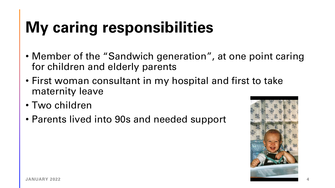## **My caring responsibilities**

- Member of the "Sandwich generation", at one point caring for children and elderly parents
- First woman consultant in my hospital and first to take maternity leave
- Two children
- Parents lived into 90s and needed support

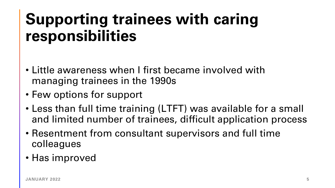#### **Supporting trainees with caring responsibilities**

- Little awareness when I first became involved with managing trainees in the 1990s
- Few options for support
- Less than full time training (LTFT) was available for a small and limited number of trainees, difficult application process
- Resentment from consultant supervisors and full time colleagues
- Has improved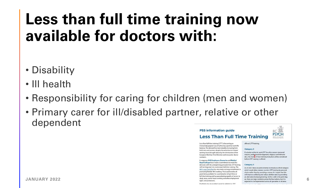#### **Less than full time training now available for doctors with:**

- Disability
- Ill health
- Responsibility for caring for children (men and women)
- Primary carer for ill/disabled partner, relative or other dependent



Less-than-full-time training (LTFT) is becoming an increasingly popular way of achieving a positive work-life balance. The demand has been steadily increasing from both men and women, despite the reduction in trainees' working hours brought about by the introduction of the European Working Time Directive and new junior doctor contracts.

In response, NHS Employers, Deaneries and Medical Royal Colleges have made a commitment to meet this demand, with the underpinning principle that LTFT training will be integrated into mainstream full-time training. The NHS Long Term Plan has also made a strong commitment to promoting flexible NHS working. This is achieved by all posts being available for a combination of part-time or full-time training and by quaranteeing equality of access to

Psychiatry has an excellent record in relation to LTFT.

offered LTFT training

Category 2

If a doctor wishes to work LTFT for other reasons (personal reasons, professional development, religious commitments etc.), the merito of their individual situation will be considered before LTFT training is offered.

#### Category 3

As of 2021, there are pilot schemes to introduce a third category which would allow trainees to enter LTFT training by personal choice rather than by providing a reason. It is hoped that this will improve wellbeing and reduce attrition rates by providing an alternative to leaving training. As this is still in the pilot stag-**JANUARY 2022 6**<br>**S** transformations and protections. There are large variations across the four nations, but it is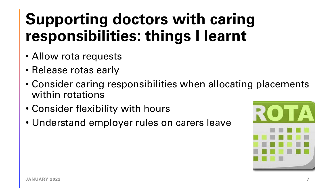## **Supporting doctors with caring responsibilities: things I learnt**

- Allow rota requests
- Release rotas early
- Consider caring responsibilities when allocating placements within rotations
- Consider flexibility with hours
- Understand employer rules on carers leave

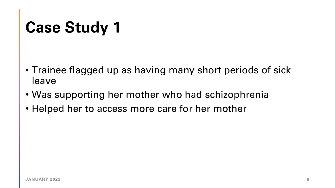## **Case Study 1**

- Trainee flagged up as having many short periods of sick leave
- Was supporting her mother who had schizophrenia
- Helped her to access more care for her mother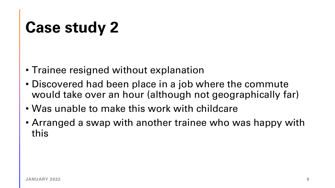## **Case study 2**

- Trainee resigned without explanation
- Discovered had been place in a job where the commute would take over an hour (although not geographically far)
- Was unable to make this work with childcare
- Arranged a swap with another trainee who was happy with this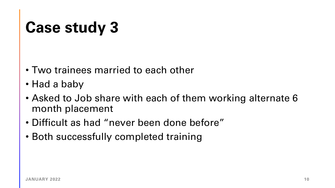## **Case study 3**

- Two trainees married to each other
- Had a baby
- Asked to Job share with each of them working alternate 6 month placement
- Difficult as had "never been done before"
- Both successfully completed training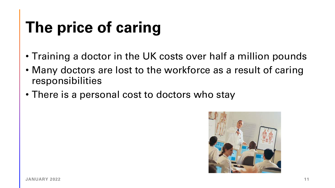## **The price of caring**

- Training a doctor in the UK costs over half a million pounds
- Many doctors are lost to the workforce as a result of caring responsibilities
- There is a personal cost to doctors who stay

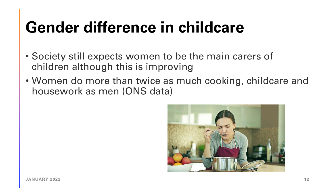## **Gender difference in childcare**

- Society still expects women to be the main carers of children although this is improving
- Women do more than twice as much cooking, childcare and housework as men (ONS data)

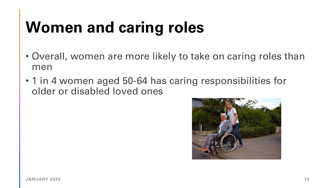## **Women and caring roles**

- Overall, women are more likely to take on caring roles than men
- 1 in 4 women aged 50-64 has caring responsibilities for older or disabled loved ones

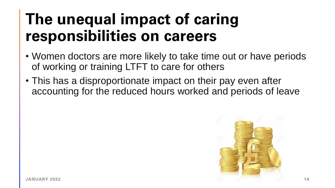#### **The unequal impact of caring responsibilities on careers**

- Women doctors are more likely to take time out or have periods of working or training LTFT to care for others
- This has a disproportionate impact on their pay even after accounting for the reduced hours worked and periods of leave

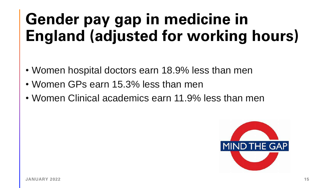## **Gender pay gap in medicine in England (adjusted for working hours)**

- Women hospital doctors earn 18.9% less than men
- Women GPs earn 15.3% less than men
- Women Clinical academics earn 11.9% less than men

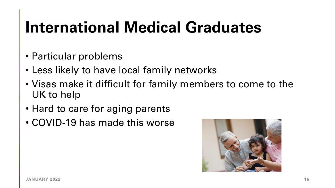#### **International Medical Graduates**

- Particular problems
- Less likely to have local family networks
- Visas make it difficult for family members to come to the UK to help
- Hard to care for aging parents
- COVID-19 has made this worse

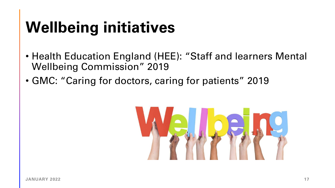## **Wellbeing initiatives**

- Health Education England (HEE): "Staff and learners Mental Wellbeing Commission" 2019
- GMC: "Caring for doctors, caring for patients" 2019

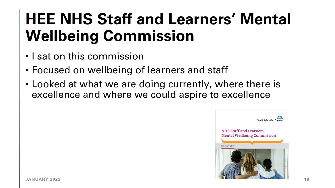## **HEE NHS Staff and Learners' Mental Wellbeing Commission**

- I sat on this commission
- Focused on wellbeing of learners and staff
- Looked at what we are doing currently, where there is excellence and where we could aspire to excellence

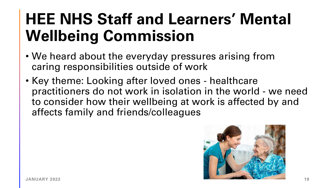## **HEE NHS Staff and Learners' Mental Wellbeing Commission**

- We heard about the everyday pressures arising from caring responsibilities outside of work
- Key theme: Looking after loved ones healthcare practitioners do not work in isolation in the world - we need to consider how their wellbeing at work is affected by and affects family and friends/colleagues

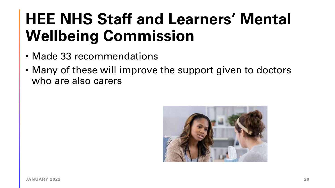## **HEE NHS Staff and Learners' Mental Wellbeing Commission**

- Made 33 recommendations
- Many of these will improve the support given to doctors who are also carers

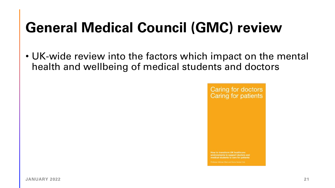#### **General Medical Council (GMC) review**

• UK-wide review into the factors which impact on the mental health and wellbeing of medical students and doctors

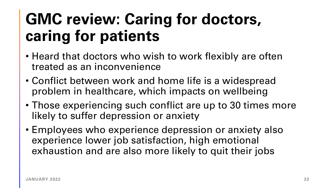#### **GMC review: Caring for doctors, caring for patients**

- Heard that doctors who wish to work flexibly are often treated as an inconvenience
- Conflict between work and home life is a widespread problem in healthcare, which impacts on wellbeing
- Those experiencing such conflict are up to 30 times more likely to suffer depression or anxiety
- Employees who experience depression or anxiety also experience lower job satisfaction, high emotional exhaustion and are also more likely to quit their jobs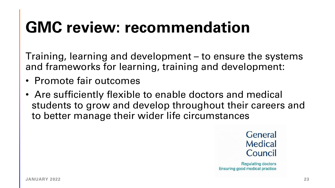## **GMC review: recommendation**

Training, learning and development – to ensure the systems and frameworks for learning, training and development:

- Promote fair outcomes
- Are sufficiently flexible to enable doctors and medical students to grow and develop throughout their careers and to better manage their wider life circumstances



**Regulating doctors** Ensuring good medical practice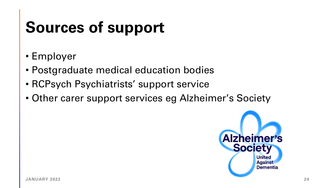## **Sources of support**

- Employer
- Postgraduate medical education bodies
- RCPsych Psychiatrists' support service
- Other carer support services eg Alzheimer's Society

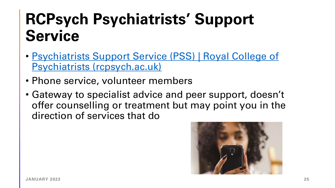#### **RCPsych Psychiatrists' Support Service**

- [Psychiatrists Support Service \(PSS\) | Royal College of](https://www.rcpsych.ac.uk/members/supporting-you/psychiatrists-support-service)  Psychiatrists (rcpsych.ac.uk)
- Phone service, volunteer members
- Gateway to specialist advice and peer support, doesn't offer counselling or treatment but may point you in the direction of services that do

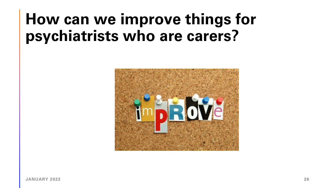#### **How can we improve things for psychiatrists who are carers?**

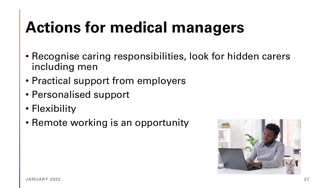## **Actions for medical managers**

- Recognise caring responsibilities, look for hidden carers including men
- Practical support from employers
- Personalised support
- Flexibility
- Remote working is an opportunity

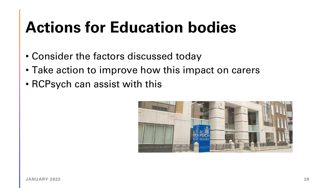## **Actions for Education bodies**

- Consider the factors discussed today
- Take action to improve how this impact on carers
- RCPsych can assist with this

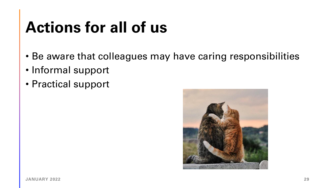## **Actions for all of us**

- Be aware that colleagues may have caring responsibilities
- Informal support
- Practical support